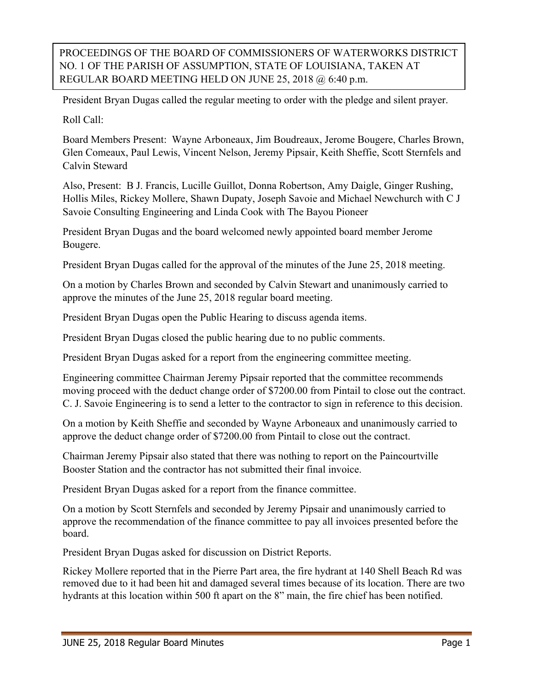PROCEEDINGS OF THE BOARD OF COMMISSIONERS OF WATERWORKS DISTRICT NO. 1 OF THE PARISH OF ASSUMPTION, STATE OF LOUISIANA, TAKEN AT REGULAR BOARD MEETING HELD ON JUNE 25, 2018 @ 6:40 p.m.

President Bryan Dugas called the regular meeting to order with the pledge and silent prayer.

Roll Call:

Board Members Present: Wayne Arboneaux, Jim Boudreaux, Jerome Bougere, Charles Brown, Glen Comeaux, Paul Lewis, Vincent Nelson, Jeremy Pipsair, Keith Sheffie, Scott Sternfels and Calvin Steward

Also, Present: B J. Francis, Lucille Guillot, Donna Robertson, Amy Daigle, Ginger Rushing, Hollis Miles, Rickey Mollere, Shawn Dupaty, Joseph Savoie and Michael Newchurch with C J Savoie Consulting Engineering and Linda Cook with The Bayou Pioneer

President Bryan Dugas and the board welcomed newly appointed board member Jerome Bougere.

President Bryan Dugas called for the approval of the minutes of the June 25, 2018 meeting.

On a motion by Charles Brown and seconded by Calvin Stewart and unanimously carried to approve the minutes of the June 25, 2018 regular board meeting.

President Bryan Dugas open the Public Hearing to discuss agenda items.

President Bryan Dugas closed the public hearing due to no public comments.

President Bryan Dugas asked for a report from the engineering committee meeting.

Engineering committee Chairman Jeremy Pipsair reported that the committee recommends moving proceed with the deduct change order of \$7200.00 from Pintail to close out the contract. C. J. Savoie Engineering is to send a letter to the contractor to sign in reference to this decision.

On a motion by Keith Sheffie and seconded by Wayne Arboneaux and unanimously carried to approve the deduct change order of \$7200.00 from Pintail to close out the contract.

Chairman Jeremy Pipsair also stated that there was nothing to report on the Paincourtville Booster Station and the contractor has not submitted their final invoice.

President Bryan Dugas asked for a report from the finance committee.

On a motion by Scott Sternfels and seconded by Jeremy Pipsair and unanimously carried to approve the recommendation of the finance committee to pay all invoices presented before the board.

President Bryan Dugas asked for discussion on District Reports.

Rickey Mollere reported that in the Pierre Part area, the fire hydrant at 140 Shell Beach Rd was removed due to it had been hit and damaged several times because of its location. There are two hydrants at this location within 500 ft apart on the 8" main, the fire chief has been notified.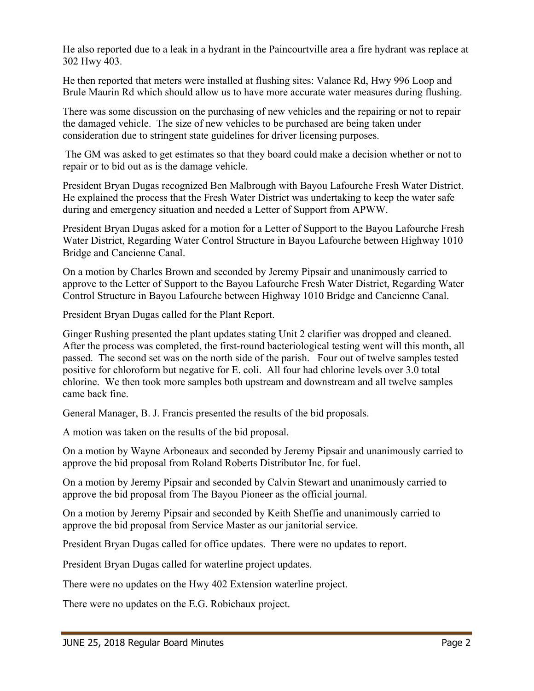He also reported due to a leak in a hydrant in the Paincourtville area a fire hydrant was replace at 302 Hwy 403.

He then reported that meters were installed at flushing sites: Valance Rd, Hwy 996 Loop and Brule Maurin Rd which should allow us to have more accurate water measures during flushing.

There was some discussion on the purchasing of new vehicles and the repairing or not to repair the damaged vehicle. The size of new vehicles to be purchased are being taken under consideration due to stringent state guidelines for driver licensing purposes.

The GM was asked to get estimates so that they board could make a decision whether or not to repair or to bid out as is the damage vehicle.

President Bryan Dugas recognized Ben Malbrough with Bayou Lafourche Fresh Water District. He explained the process that the Fresh Water District was undertaking to keep the water safe during and emergency situation and needed a Letter of Support from APWW.

President Bryan Dugas asked for a motion for a Letter of Support to the Bayou Lafourche Fresh Water District, Regarding Water Control Structure in Bayou Lafourche between Highway 1010 Bridge and Cancienne Canal.

On a motion by Charles Brown and seconded by Jeremy Pipsair and unanimously carried to approve to the Letter of Support to the Bayou Lafourche Fresh Water District, Regarding Water Control Structure in Bayou Lafourche between Highway 1010 Bridge and Cancienne Canal.

President Bryan Dugas called for the Plant Report.

Ginger Rushing presented the plant updates stating Unit 2 clarifier was dropped and cleaned. After the process was completed, the first-round bacteriological testing went will this month, all passed. The second set was on the north side of the parish. Four out of twelve samples tested positive for chloroform but negative for E. coli. All four had chlorine levels over 3.0 total chlorine. We then took more samples both upstream and downstream and all twelve samples came back fine.

General Manager, B. J. Francis presented the results of the bid proposals.

A motion was taken on the results of the bid proposal.

On a motion by Wayne Arboneaux and seconded by Jeremy Pipsair and unanimously carried to approve the bid proposal from Roland Roberts Distributor Inc. for fuel.

On a motion by Jeremy Pipsair and seconded by Calvin Stewart and unanimously carried to approve the bid proposal from The Bayou Pioneer as the official journal.

On a motion by Jeremy Pipsair and seconded by Keith Sheffie and unanimously carried to approve the bid proposal from Service Master as our janitorial service.

President Bryan Dugas called for office updates. There were no updates to report.

President Bryan Dugas called for waterline project updates.

There were no updates on the Hwy 402 Extension waterline project.

There were no updates on the E.G. Robichaux project.